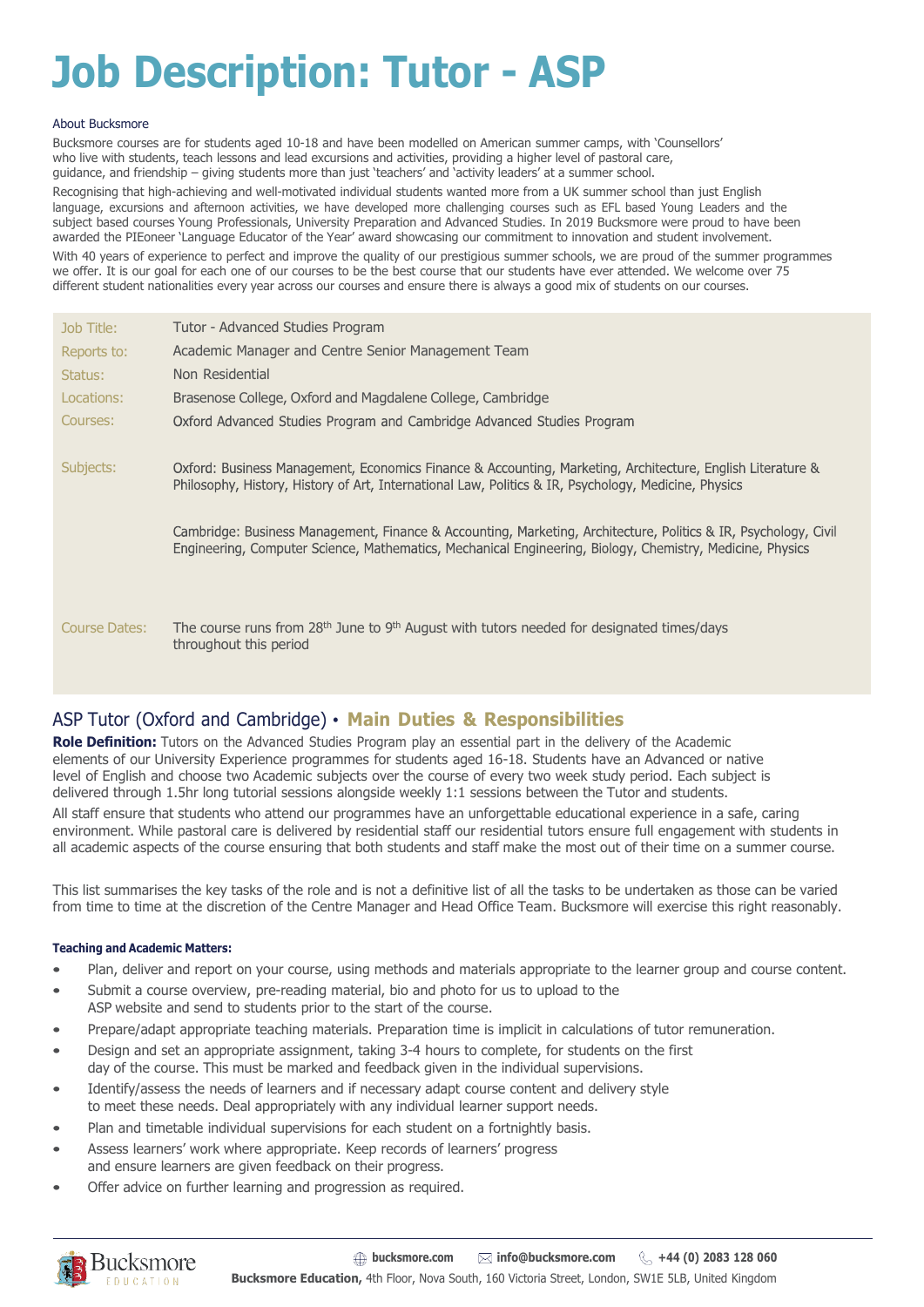# **Job Description: Tutor - ASP**

#### About Bucksmore

Bucksmore courses are for students aged 10-18 and have been modelled on American summer camps, with 'Counsellors' who live with students, teach lessons and lead excursions and activities, providing a higher level of pastoral care, guidance, and friendship – giving students more than just 'teachers' and 'activity leaders' at a summer school. Recognising that high-achieving and well-motivated individual students wanted more from a UK summer school than just English language, excursions and afternoon activities, we have developed more challenging courses such as EFL based Young Leaders and the subject based courses Young Professionals, University Preparation and Advanced Studies. In 2019 Bucksmore were proud to have been awarded the PIEoneer 'Language Educator of the Year' award showcasing our commitment to innovation and student involvement. With 40 years of experience to perfect and improve the quality of our prestigious summer schools, we are proud of the summer programmes we offer. It is our goal for each one of our courses to be the best course that our students have ever attended. We welcome over 75 different student nationalities every year across our courses and ensure there is always a good mix of students on our courses.

| Job Title:           | Tutor - Advanced Studies Program                                                                                                                                                                                             |
|----------------------|------------------------------------------------------------------------------------------------------------------------------------------------------------------------------------------------------------------------------|
| Reports to:          | Academic Manager and Centre Senior Management Team                                                                                                                                                                           |
| Status:              | Non Residential                                                                                                                                                                                                              |
| Locations:           | Brasenose College, Oxford and Magdalene College, Cambridge                                                                                                                                                                   |
| Courses:             | Oxford Advanced Studies Program and Cambridge Advanced Studies Program                                                                                                                                                       |
|                      |                                                                                                                                                                                                                              |
| Subjects:            | Oxford: Business Management, Economics Finance & Accounting, Marketing, Architecture, English Literature &<br>Philosophy, History, History of Art, International Law, Politics & IR, Psychology, Medicine, Physics           |
|                      | Cambridge: Business Management, Finance & Accounting, Marketing, Architecture, Politics & IR, Psychology, Civil<br>Engineering, Computer Science, Mathematics, Mechanical Engineering, Biology, Chemistry, Medicine, Physics |
| <b>Course Dates:</b> | The course runs from $28th$ June to 9 <sup>th</sup> August with tutors needed for designated times/days<br>throughout this period                                                                                            |

### ASP Tutor (Oxford and Cambridge) • **Main Duties & Responsibilities**

**Role Definition:** Tutors on the Advanced Studies Program play an essential part in the delivery of the Academic elements of our University Experience programmes for students aged 16-18. Students have an Advanced or native level of English and choose two Academic subjects over the course of every two week study period. Each subject is delivered through 1.5hr long tutorial sessions alongside weekly 1:1 sessions between the Tutor and students.

All staff ensure that students who attend our programmes have an unforgettable educational experience in a safe, caring environment. While pastoral care is delivered by residential staff our residential tutors ensure full engagement with students in all academic aspects of the course ensuring that both students and staff make the most out of their time on a summer course.

This list summarises the key tasks of the role and is not a definitive list of all the tasks to be undertaken as those can be varied from time to time at the discretion of the Centre Manager and Head Office Team. Bucksmore will exercise this right reasonably.

#### **Teaching and Academic Matters:**

- Plan, deliver and report on your course, using methods and materials appropriate to the learner group and course content.
- Submit a course overview, pre-reading material, bio and photo for us to upload to the ASP website and send to students prior to the start of the course.
- Prepare/adapt appropriate teaching materials. Preparation time is implicit in calculations of tutor remuneration.
- Design and set an appropriate assignment, taking 3-4 hours to complete, for students on the first day of the course. This must be marked and feedback given in the individual supervisions.
- Identify/assess the needs of learners and if necessary adapt course content and delivery style to meet these needs. Deal appropriately with any individual learner support needs.
- Plan and timetable individual supervisions for each student on a fortnightly basis.
- Assess learners' work where appropriate. Keep records of learners' progress and ensure learners are given feedback on their progress.
- Offer advice on further learning and progression as required.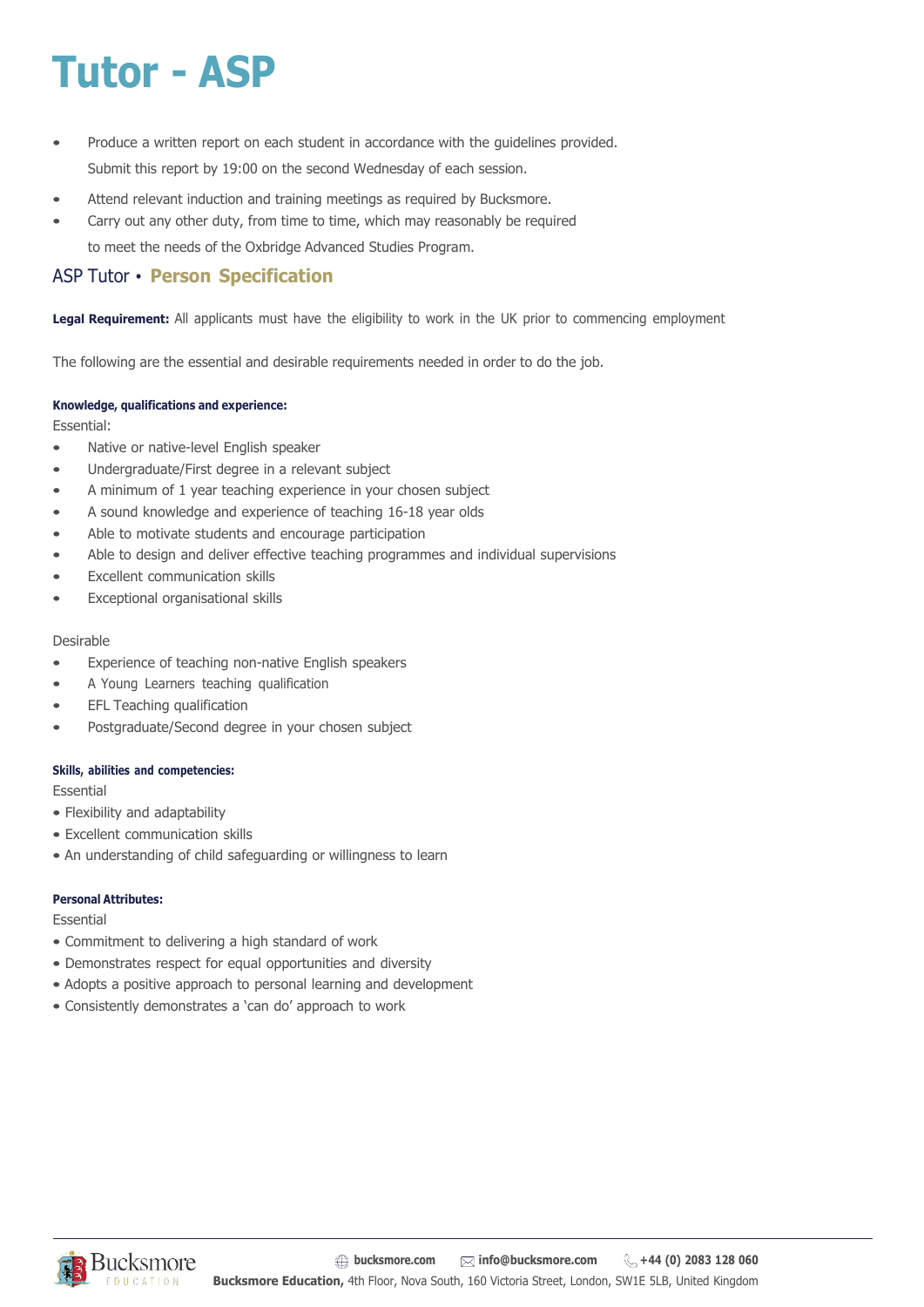## **Tutor - ASP**

- Produce a written report on each student in accordance with the guidelines provided. Submit this report by 19:00 on the second Wednesday of each session.
- Attend relevant induction and training meetings as required by Bucksmore.
- Carry out any other duty, from time to time, which may reasonably be required to meet the needs of the Oxbridge Advanced Studies Program.

### ASP Tutor • **Person Specification**

**Legal Requirement:** All applicants must have the eligibility to work in the UK prior to commencing employment

The following are the essential and desirable requirements needed in order to do the job.

#### **Knowledge, qualifications and experience:**

Essential:

- Native or native-level English speaker
- Undergraduate/First degree in a relevant subject
- A minimum of 1 year teaching experience in your chosen subject
- A sound knowledge and experience of teaching 16-18 year olds
- Able to motivate students and encourage participation
- Able to design and deliver effective teaching programmes and individual supervisions
- Excellent communication skills
- Exceptional organisational skills

#### Desirable

- Experience of teaching non-native English speakers
- A Young Learners teaching qualification
- EFL Teaching qualification
- Postgraduate/Second degree in your chosen subject

#### **Skills, abilities and competencies:**

**Essential** 

- Flexibility and adaptability
- Excellent communication skills
- An understanding of child safeguarding or willingness to learn

#### **Personal Attributes:**

Essential

- Commitment to delivering a high standard of work
- Demonstrates respect for equal opportunities and diversity
- Adopts a positive approach to personal learning and development
- Consistently demonstrates a 'can do' approach to work